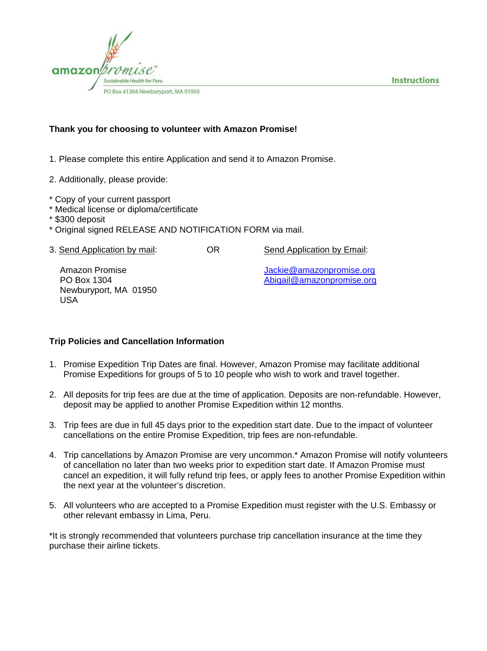



#### **Thank you for choosing to volunteer with Amazon Promise!**

- 1. Please complete this entire Application and send it to Amazon Promise.
- 2. Additionally, please provide:
- \* Copy of your current passport
- \* Medical license or diploma/certificate
- \* \$300 deposit
- \* Original signed RELEASE AND NOTIFICATION FORM via mail.
- 3. Send Application by mail: OR Send Application by Email:

Newburyport, MA 01950 USA

Amazon Promise Jackie@amazonpromise.org PO Box 1304 **Abigail@amazonpromise.org Abigail** 

#### **Trip Policies and Cancellation Information**

- 1. Promise Expedition Trip Dates are final. However, Amazon Promise may facilitate additional Promise Expeditions for groups of 5 to 10 people who wish to work and travel together.
- 2. All deposits for trip fees are due at the time of application. Deposits are non-refundable. However, deposit may be applied to another Promise Expedition within 12 months.
- 3. Trip fees are due in full 45 days prior to the expedition start date. Due to the impact of volunteer cancellations on the entire Promise Expedition, trip fees are non-refundable.
- 4. Trip cancellations by Amazon Promise are very uncommon.\* Amazon Promise will notify volunteers of cancellation no later than two weeks prior to expedition start date. If Amazon Promise must cancel an expedition, it will fully refund trip fees, or apply fees to another Promise Expedition within the next year at the volunteer's discretion.
- 5. All volunteers who are accepted to a Promise Expedition must register with the U.S. Embassy or other relevant embassy in Lima, Peru.

\*It is strongly recommended that volunteers purchase trip cancellation insurance at the time they purchase their airline tickets.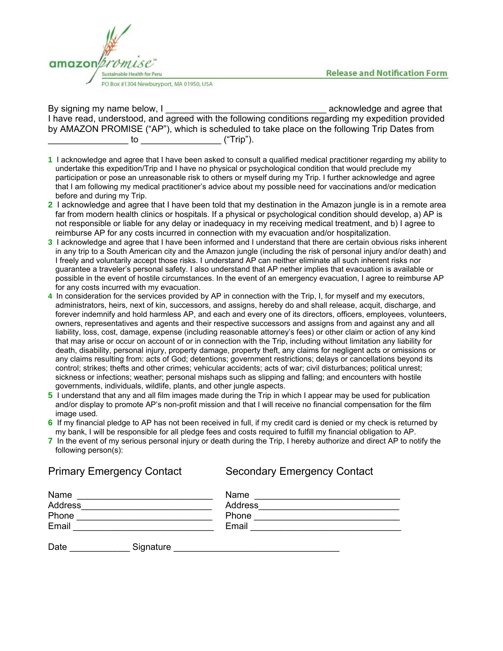**Release and Notification Form** 



By signing my name below, I \_\_\_\_\_\_\_\_\_\_\_\_\_\_\_\_\_\_\_\_\_\_\_\_\_\_\_\_\_\_\_\_ acknowledge and agree that I have read, understood, and agreed with the following conditions regarding my expedition provided by AMAZON PROMISE ("AP"), which is scheduled to take place on the following Trip Dates from \_\_\_\_\_\_\_\_\_\_\_\_\_\_\_\_ to \_\_\_\_\_\_\_\_\_\_\_\_\_\_\_\_ ("Trip").

- **1** I acknowledge and agree that I have been asked to consult a qualified medical practitioner regarding my ability to undertake this expedition/Trip and I have no physical or psychological condition that would preclude my participation or pose an unreasonable risk to others or myself during my Trip. I further acknowledge and agree that I am following my medical practitioner's advice about my possible need for vaccinations and/or medication before and during my Trip.
- **2** I acknowledge and agree that I have been told that my destination in the Amazon jungle is in a remote area far from modern health clinics or hospitals. If a physical or psychological condition should develop, a) AP is not responsible or liable for any delay or inadequacy in my receiving medical treatment, and b) I agree to reimburse AP for any costs incurred in connection with my evacuation and/or hospitalization.
- **3** I acknowledge and agree that I have been informed and I understand that there are certain obvious risks inherent in any trip to a South American city and the Amazon jungle (including the risk of personal injury and/or death) and I freely and voluntarily accept those risks. I understand AP can neither eliminate all such inherent risks nor guarantee a traveler's personal safety. I also understand that AP nether implies that evacuation is available or possible in the event of hostile circumstances. In the event of an emergency evacuation, I agree to reimburse AP for any costs incurred with my evacuation.
- **4** In consideration for the services provided by AP in connection with the Trip, I, for myself and my executors, administrators, heirs, next of kin, successors, and assigns, hereby do and shall release, acquit, discharge, and forever indemnify and hold harmless AP, and each and every one of its directors, officers, employees, volunteers, owners, representatives and agents and their respective successors and assigns from and against any and all liability, loss, cost, damage, expense (including reasonable attorney's fees) or other claim or action of any kind that may arise or occur on account of or in connection with the Trip, including without limitation any liability for death, disability, personal injury, property damage, property theft, any claims for negligent acts or omissions or any claims resulting from: acts of God; detentions; government restrictions; delays or cancellations beyond its control; strikes; thefts and other crimes; vehicular accidents; acts of war; civil disturbances; political unrest; sickness or infections; weather; personal mishaps such as slipping and falling; and encounters with hostile governments, individuals, wildlife, plants, and other jungle aspects.
- **5** I understand that any and all film images made during the Trip in which I appear may be used for publication and/or display to promote AP's non-profit mission and that I will receive no financial compensation for the film image used.
- **6** If my financial pledge to AP has not been received in full, if my credit card is denied or my check is returned by my bank, I will be responsible for all pledge fees and costs required to fulfill my financial obligation to AP.
- **7** In the event of my serious personal injury or death during the Trip, I hereby authorize and direct AP to notify the following person(s):

Primary Emergency Contact Secondary Emergency Contact Name \_\_\_\_\_\_\_\_\_\_\_\_\_\_\_\_\_\_\_\_\_\_\_\_\_\_\_ Name \_\_\_\_\_\_\_\_\_\_\_\_\_\_\_\_\_\_\_\_\_\_\_\_\_\_\_\_\_ Address\_\_\_\_\_\_\_\_\_\_\_\_\_\_\_\_\_\_\_\_\_\_\_\_\_\_ Address\_\_\_\_\_\_\_\_\_\_\_\_\_\_\_\_\_\_\_\_\_\_\_\_\_\_\_\_ Phone \_\_\_\_\_\_\_\_\_\_\_\_\_\_\_\_\_\_\_\_\_\_\_\_\_\_\_ Phone \_\_\_\_\_\_\_\_\_\_\_\_\_\_\_\_\_\_\_\_\_\_\_\_\_\_\_\_\_ Email \_\_\_\_\_\_\_\_\_\_\_\_\_\_\_\_\_\_\_\_\_\_\_\_\_\_\_\_ Email \_\_\_\_\_\_\_\_\_\_\_\_\_\_\_\_\_\_\_\_\_\_\_\_\_\_\_\_\_\_ Date **Example 2** Signature **Signature Example 2** Signature **Example 2** Signature **Example 2** Signature **Example 2** Signature **Example 2** Signature **Example 2** Signature **Example 2** Signature **Example 2** Signature **Exampl**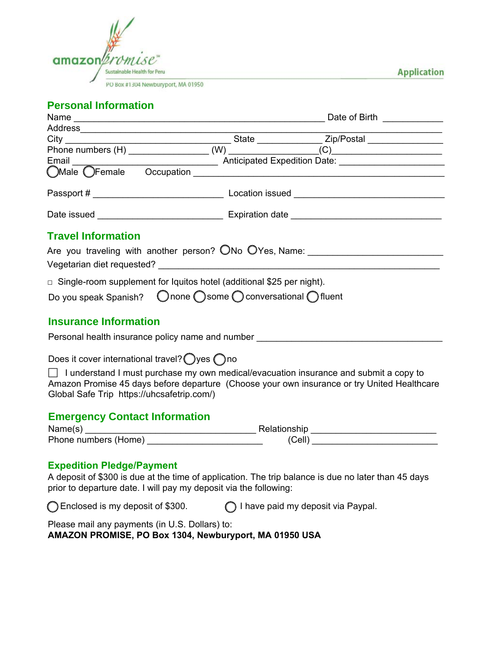

PO Box #1304 Newburyport, MA 01950

**Application** 

# **Personal Information**

| Address and a contract of the contract of the contract of the contract of the contract of the contract of the contract of the contract of the contract of the contract of the contract of the contract of the contract of the |        | <u> 1989 - Johann Stoff, fransk politik (d. 19</u>                                                                                                                                                                                                                                                                 |
|-------------------------------------------------------------------------------------------------------------------------------------------------------------------------------------------------------------------------------|--------|--------------------------------------------------------------------------------------------------------------------------------------------------------------------------------------------------------------------------------------------------------------------------------------------------------------------|
|                                                                                                                                                                                                                               |        |                                                                                                                                                                                                                                                                                                                    |
|                                                                                                                                                                                                                               |        |                                                                                                                                                                                                                                                                                                                    |
|                                                                                                                                                                                                                               |        |                                                                                                                                                                                                                                                                                                                    |
|                                                                                                                                                                                                                               |        |                                                                                                                                                                                                                                                                                                                    |
|                                                                                                                                                                                                                               |        |                                                                                                                                                                                                                                                                                                                    |
|                                                                                                                                                                                                                               |        |                                                                                                                                                                                                                                                                                                                    |
| <b>Travel Information</b>                                                                                                                                                                                                     |        |                                                                                                                                                                                                                                                                                                                    |
|                                                                                                                                                                                                                               |        | Are you traveling with another person? ONo OYes, Name: _________________________<br>Vegetarian diet requested? Note that the contract of the contract of the contract of the contract of the contract of the contract of the contract of the contract of the contract of the contract of the contract of the contr |
| $\Box$ Single-room supplement for Iquitos hotel (additional \$25 per night).                                                                                                                                                  |        |                                                                                                                                                                                                                                                                                                                    |
| Do you speak Spanish?  ◯ none ◯ some ◯ conversational ◯ fluent                                                                                                                                                                |        |                                                                                                                                                                                                                                                                                                                    |
| <b>Insurance Information</b>                                                                                                                                                                                                  |        |                                                                                                                                                                                                                                                                                                                    |
| Personal health insurance policy name and number _______________________________                                                                                                                                              |        |                                                                                                                                                                                                                                                                                                                    |
| Does it cover international travel? $\bigcirc$ yes $\bigcirc$ no                                                                                                                                                              |        |                                                                                                                                                                                                                                                                                                                    |
| Global Safe Trip https://uhcsafetrip.com/)                                                                                                                                                                                    |        | $\Box$ I understand I must purchase my own medical/evacuation insurance and submit a copy to<br>Amazon Promise 45 days before departure (Choose your own insurance or try United Healthcare                                                                                                                        |
| <b>Emergency Contact Information</b>                                                                                                                                                                                          |        |                                                                                                                                                                                                                                                                                                                    |
|                                                                                                                                                                                                                               |        |                                                                                                                                                                                                                                                                                                                    |
|                                                                                                                                                                                                                               | (Cell) |                                                                                                                                                                                                                                                                                                                    |

#### **Expedition Pledge/Payment**

A deposit of \$300 is due at the time of application. The trip balance is due no later than 45 days prior to departure date. I will pay my deposit via the following:

Please mail any payments (in U.S. Dollars) to: **AMAZON PROMISE, PO Box 1304, Newburyport, MA 01950 USA**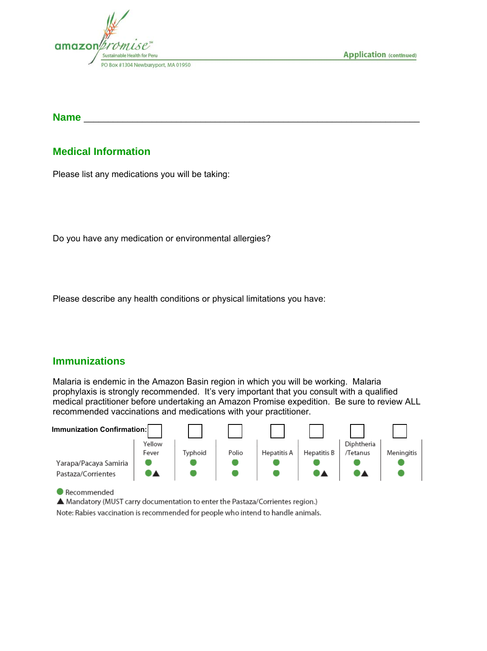

**Application (continued)** 

**Name** \_\_\_\_\_\_\_\_\_\_\_\_\_\_\_\_\_\_\_\_\_\_\_\_\_\_\_\_\_\_\_\_\_\_\_\_\_\_\_\_\_\_\_\_\_\_\_\_\_\_\_\_\_\_\_\_\_\_\_\_\_\_\_\_\_\_\_\_\_

## **Medical Information**

Please list any medications you will be taking:

Do you have any medication or environmental allergies?

Please describe any health conditions or physical limitations you have:

### **Immunizations**

Malaria is endemic in the Amazon Basin region in which you will be working. Malaria prophylaxis is strongly recommended. It's very important that you consult with a qualified medical practitioner before undertaking an Amazon Promise expedition. Be sure to review ALL recommended vaccinations and medications with your practitioner.



 $\bullet$  Recommended

A Mandatory (MUST carry documentation to enter the Pastaza/Corrientes region.) Note: Rabies vaccination is recommended for people who intend to handle animals.